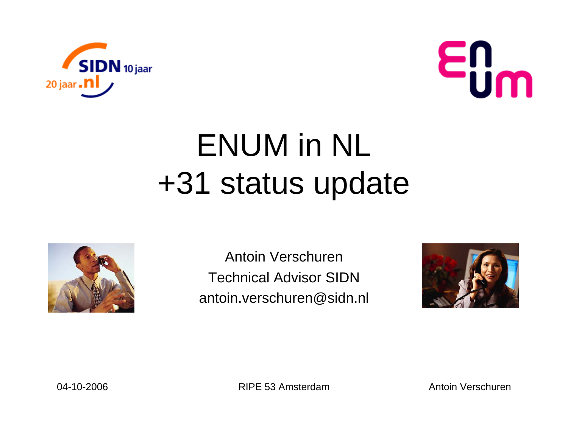



## ENUM in NL +31 status update



Antoin VerschurenTechnical Advisor SIDNantoin.verschuren@sidn.nl

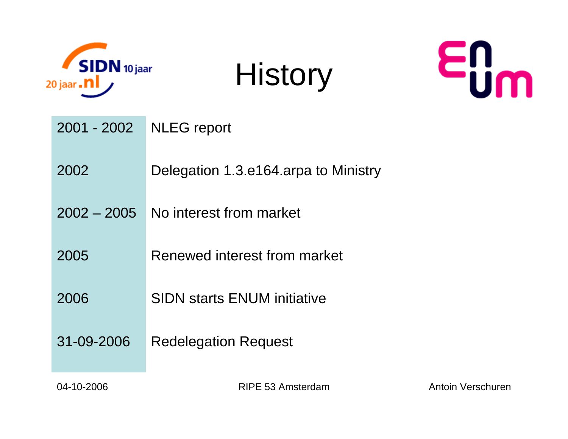

**History** 



| <b>NLEG</b> report                   |
|--------------------------------------|
| Delegation 1.3.e164.arpa to Ministry |
| No interest from market              |
| Renewed interest from market         |
| <b>SIDN starts ENUM initiative</b>   |
| <b>Redelegation Request</b>          |
|                                      |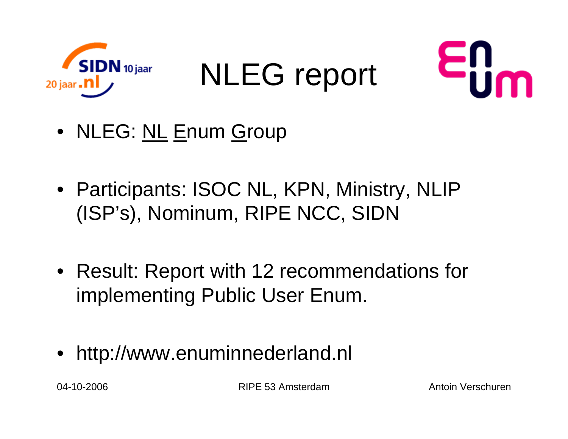

NLEG report



- NLEG: <u>NL E</u>num <u>G</u>roup
- Participants: ISOC NL, KPN, Ministry, NLIP (ISP's), Nominum, RIPE NCC, SIDN
- Result: Report with 12 recommendations for implementing Public User Enum.
- http://www.enuminnederland.nl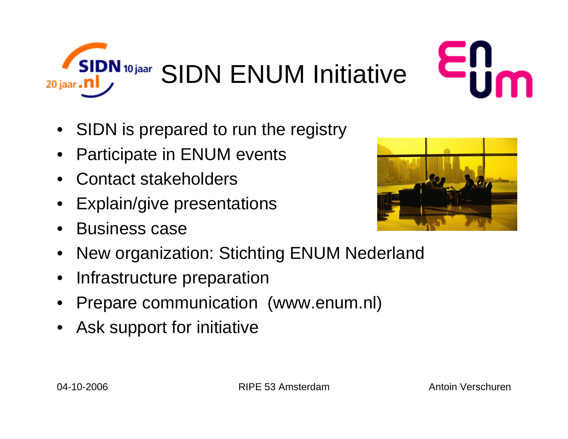



- SIDN is prepared to run the registry
- •Participate in ENUM events
- •Contact stakeholders
- •Explain/give presentations
- •Business case
- •New organization: Stichting ENUM Nederland
- •Infrastructure preparation
- •Prepare communication (www.enum.nl)
- •Ask support for initiative

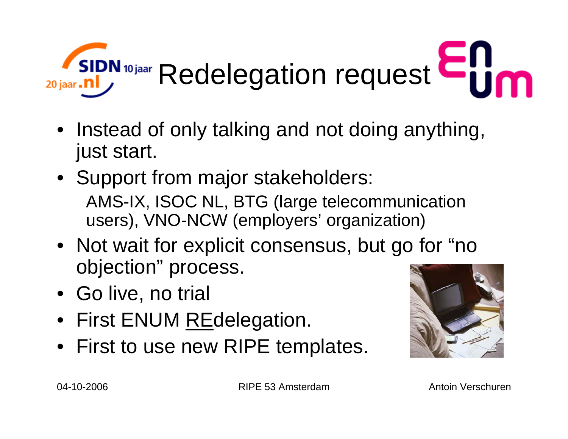

- Instead of only talking and not doing anything, just start.
- Support from major stakeholders: AMS-IX, ISOC NL, BTG (large telecommunication users), VNO-NCW (employers' organization)
- Not wait for explicit consensus, but go for "no objection" process.
- Go live, no trial
- First ENUM <u>RE</u>delegation.
- First to use new RIPE templates.

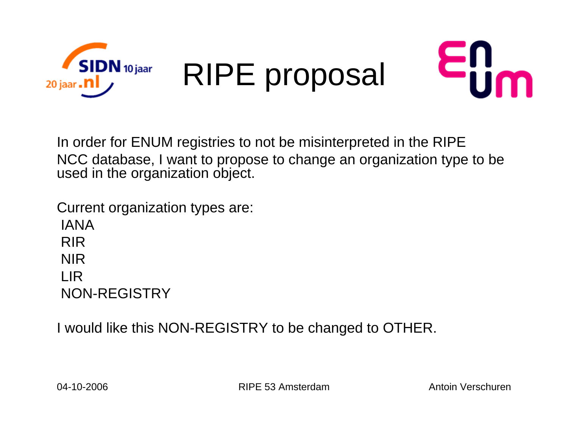



In order for ENUM registries to not be misinterpreted in the RIPE NCC database, I want to propose to change an organization type to be used in the organization object.

Current organization types are: IANARIRNIRLIRNON-REGISTRY

I would like this NON-REGISTRY to be changed to OTHER.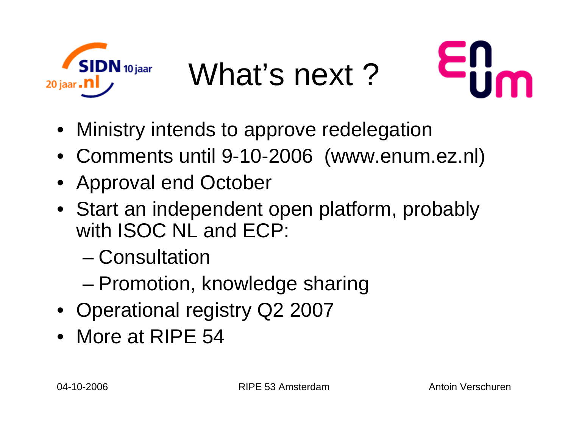

What's next?



- Ministry intends to approve redelegation
- Comments until 9-10-2006 (www.enum.ez.nl)
- Approval end October
- Start an independent open platform, probably with ISOC NL and ECP:
	- Consultation
	- and the state of the state Promotion, knowledge sharing
- Operational registry Q2 2007
- More at RIPE 54